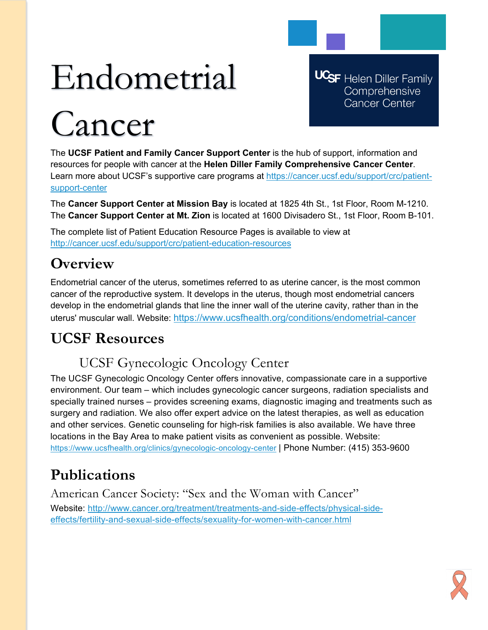# Endometrial

# Cancer

**UCSF** Helen Diller Family Comprehensive **Cancer Center** 

The **UCSF Patient and Family Cancer Support Center** is the hub of support, information and resources for people with cancer at the **Helen Diller Family Comprehensive Cancer Center**. Learn more about UCSF's supportive care programs at [https://cancer.ucsf.edu/support/crc/patient](https://cancer.ucsf.edu/support/crc/patient-support-center)[support-center](https://cancer.ucsf.edu/support/crc/patient-support-center)

The **Cancer Support Center at Mission Bay** is located at 1825 4th St., 1st Floor, Room M-1210. The **Cancer Support Center at Mt. Zion** is located at 1600 Divisadero St., 1st Floor, Room B-101.

The complete list of Patient Education Resource Pages is available to view at <http://cancer.ucsf.edu/support/crc/patient-education-resources>

## **Overview**

Endometrial cancer of the uterus, sometimes referred to as uterine cancer, is the most common cancer of the reproductive system. It develops in the uterus, though most endometrial cancers develop in the endometrial glands that line the inner wall of the uterine cavity, rather than in the uterus' muscular wall. Website:<https://www.ucsfhealth.org/conditions/endometrial-cancer>

# **UCSF Resources**

## UCSF Gynecologic Oncology Center

The UCSF Gynecologic Oncology Center offers innovative, compassionate care in a supportive environment. Our team – which includes gynecologic cancer surgeons, radiation specialists and specially trained nurses – provides screening exams, diagnostic imaging and treatments such as surgery and radiation. We also offer expert advice on the latest therapies, as well as education and other services. Genetic counseling for high-risk families is also available. We have three locations in the Bay Area to make patient visits as convenient as possible. Website: <https://www.ucsfhealth.org/clinics/gynecologic-oncology-center> | Phone Number: (415) 353-9600

# **Publications**

American Cancer Society: "Sex and the Woman with Cancer" Website: [http://www.cancer.org/treatment/treatments-and-side-effects/physical-side](http://www.cancer.org/treatment/treatments-and-side-effects/physical-side-effects/fertility-and-sexual-side-effects/sexuality-for-women-with-cancer.html)[effects/fertility-and-sexual-side-effects/sexuality-for-women-with-cancer.html](http://www.cancer.org/treatment/treatments-and-side-effects/physical-side-effects/fertility-and-sexual-side-effects/sexuality-for-women-with-cancer.html)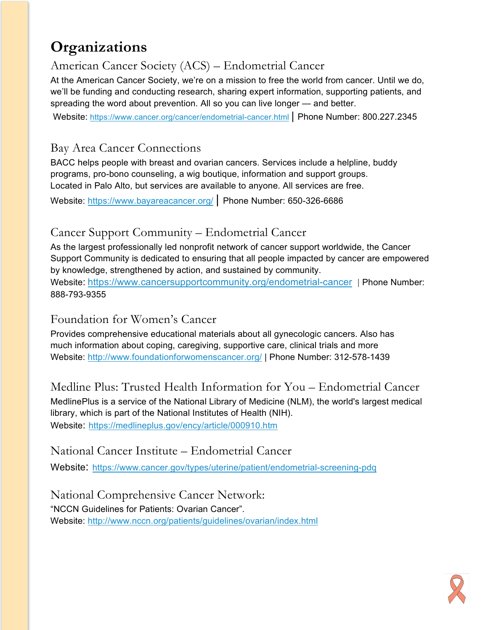## **Organizations**

## American Cancer Society (ACS) – Endometrial Cancer

At the American Cancer Society, we're on a mission to free the world from cancer. Until we do, we'll be funding and conducting research, sharing expert information, supporting patients, and spreading the word about prevention. All so you can live longer — and better.

Website: <https://www.cancer.org/cancer/endometrial-cancer.html> | Phone Number: 800.227.2345

## Bay Area Cancer Connections

BACC helps people with breast and ovarian cancers. Services include a helpline, buddy programs, pro-bono counseling, a wig boutique, information and support groups. Located in Palo Alto, but services are available to anyone. All services are free.

Website:<https://www.bayareacancer.org/> | Phone Number: 650-326-6686

## Cancer Support Community – Endometrial Cancer

As the largest professionally led nonprofit network of cancer support worldwide, the Cancer Support Community is dedicated to ensuring that all people impacted by cancer are empowered by knowledge, strengthened by action, and sustained by community. Website: <https://www.cancersupportcommunity.org/endometrial-cancer> | Phone Number:

888-793-9355

#### Foundation for Women's Cancer

Provides comprehensive educational materials about all gynecologic cancers. Also has much information about coping, caregiving, supportive care, clinical trials and more Website:<http://www.foundationforwomenscancer.org/> | Phone Number: 312-578-1439

Medline Plus: Trusted Health Information for You – Endometrial Cancer

MedlinePlus is a service of the National Library of Medicine (NLM), the world's largest medical library, which is part of the National Institutes of Health (NIH). Website: <https://medlineplus.gov/ency/article/000910.htm>

### National Cancer Institute – Endometrial Cancer

Website: <https://www.cancer.gov/types/uterine/patient/endometrial-screening-pdq>

National Comprehensive Cancer Network: "NCCN Guidelines for Patients: Ovarian Cancer". Website:<http://www.nccn.org/patients/guidelines/ovarian/index.html>